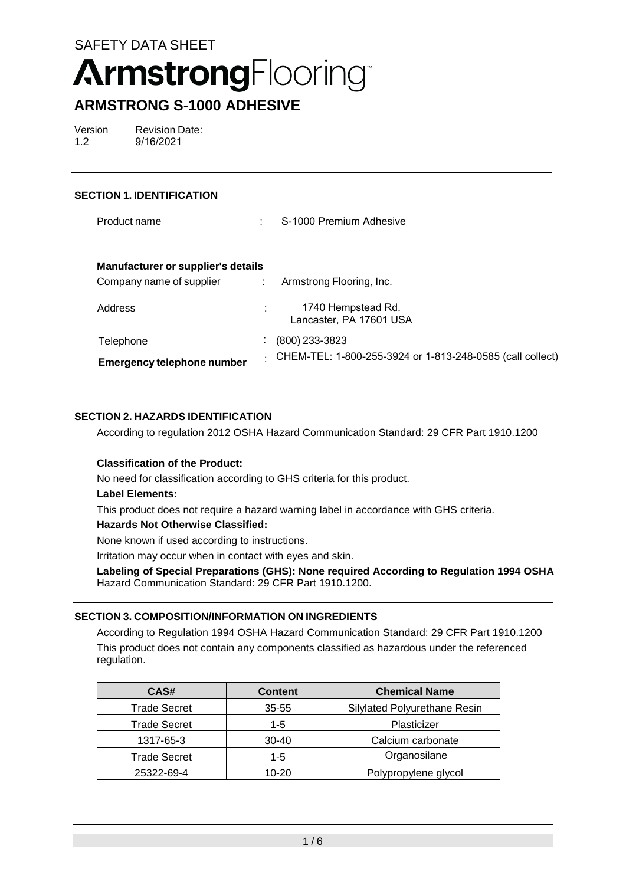# **ArmstrongFlooring**

## **ARMSTRONG S-1000 ADHESIVE**

Version 1.2 Revision Date: 9/16/2021

#### **SECTION 1. IDENTIFICATION**

| Product name                              | ÷                           | S-1000 Premium Adhesive                                   |
|-------------------------------------------|-----------------------------|-----------------------------------------------------------|
| <b>Manufacturer or supplier's details</b> |                             |                                                           |
| Company name of supplier                  | $\mathcal{L}^{\mathcal{L}}$ | Armstrong Flooring, Inc.                                  |
| Address                                   |                             | 1740 Hempstead Rd.<br>Lancaster, PA 17601 USA             |
| Telephone                                 | $\mathbf{r}$                | (800) 233-3823                                            |
| <b>Emergency telephone number</b>         | ÷                           | CHEM-TEL: 1-800-255-3924 or 1-813-248-0585 (call collect) |

#### **SECTION 2. HAZARDS IDENTIFICATION**

According to regulation 2012 OSHA Hazard Communication Standard: 29 CFR Part 1910.1200

#### **Classification of the Product:**

No need for classification according to GHS criteria for this product.

#### **Label Elements:**

This product does not require a hazard warning label in accordance with GHS criteria.

#### **Hazards Not Otherwise Classified:**

None known if used according to instructions.

Irritation may occur when in contact with eyes and skin.

**Labeling of Special Preparations (GHS): None required According to Regulation 1994 OSHA**  Hazard Communication Standard: 29 CFR Part 1910.1200.

#### **SECTION 3. COMPOSITION/INFORMATION ON INGREDIENTS**

According to Regulation 1994 OSHA Hazard Communication Standard: 29 CFR Part 1910.1200 This product does not contain any components classified as hazardous under the referenced regulation.

| CAS#                | <b>Content</b> | <b>Chemical Name</b>         |
|---------------------|----------------|------------------------------|
| <b>Trade Secret</b> | $35 - 55$      | Silylated Polyurethane Resin |
| <b>Trade Secret</b> | 1-5            | Plasticizer                  |
| 1317-65-3           | $30 - 40$      | Calcium carbonate            |
| <b>Trade Secret</b> | 1-5            | Organosilane                 |
| 25322-69-4          | $10 - 20$      | Polypropylene glycol         |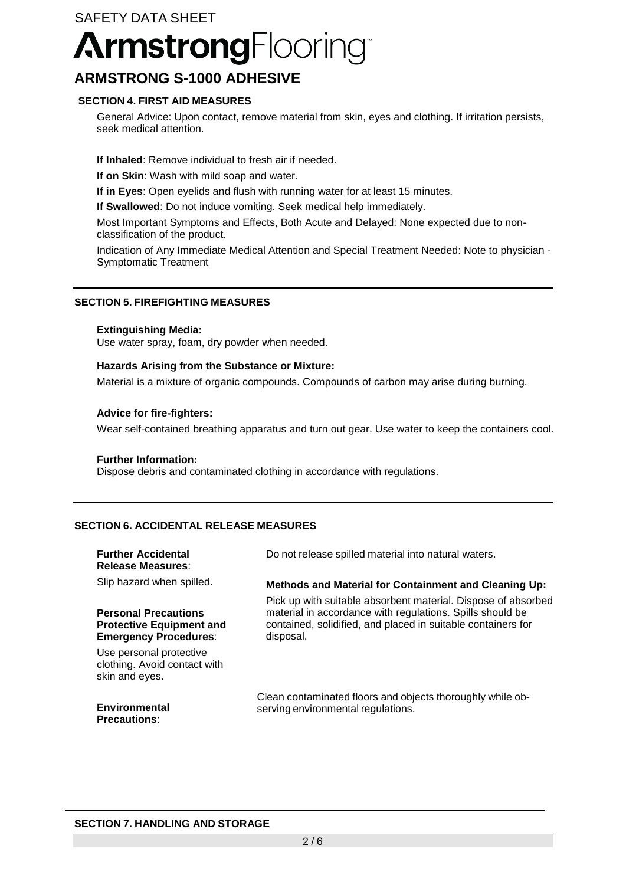# SAFETY DATA SHEET **ArmstrongFlooring**

## **ARMSTRONG S-1000 ADHESIVE**

#### **SECTION 4. FIRST AID MEASURES**

General Advice: Upon contact, remove material from skin, eyes and clothing. If irritation persists, seek medical attention.

**If Inhaled**: Remove individual to fresh air if needed.

**If on Skin**: Wash with mild soap and water.

**If in Eyes**: Open eyelids and flush with running water for at least 15 minutes.

**If Swallowed**: Do not induce vomiting. Seek medical help immediately.

Most Important Symptoms and Effects, Both Acute and Delayed: None expected due to nonclassification of the product.

Indication of Any Immediate Medical Attention and Special Treatment Needed: Note to physician - Symptomatic Treatment

#### **SECTION 5. FIREFIGHTING MEASURES**

#### **Extinguishing Media:**

Use water spray, foam, dry powder when needed.

#### **Hazards Arising from the Substance or Mixture:**

Material is a mixture of organic compounds. Compounds of carbon may arise during burning.

#### **Advice for fire-fighters:**

Wear self-contained breathing apparatus and turn out gear. Use water to keep the containers cool.

#### **Further Information:**

Dispose debris and contaminated clothing in accordance with regulations.

#### **SECTION 6. ACCIDENTAL RELEASE MEASURES**

| <b>Further Accidental</b><br><b>Release Measures:</b>                                          | Do not release spilled material into natural waters.                                                                                   |
|------------------------------------------------------------------------------------------------|----------------------------------------------------------------------------------------------------------------------------------------|
| Slip hazard when spilled.                                                                      | <b>Methods and Material for Containment and Cleaning Up:</b><br>Pick up with suitable absorbent material. Dispose of absorbed          |
| <b>Personal Precautions</b><br><b>Protective Equipment and</b><br><b>Emergency Procedures:</b> | material in accordance with regulations. Spills should be<br>contained, solidified, and placed in suitable containers for<br>disposal. |
| Use personal protective<br>clothing. Avoid contact with<br>skin and eyes.                      |                                                                                                                                        |
| Environmental<br><b>Precautions:</b>                                                           | Clean contaminated floors and objects thoroughly while ob-<br>serving environmental regulations.                                       |

#### **SECTION 7. HANDLING AND STORAGE**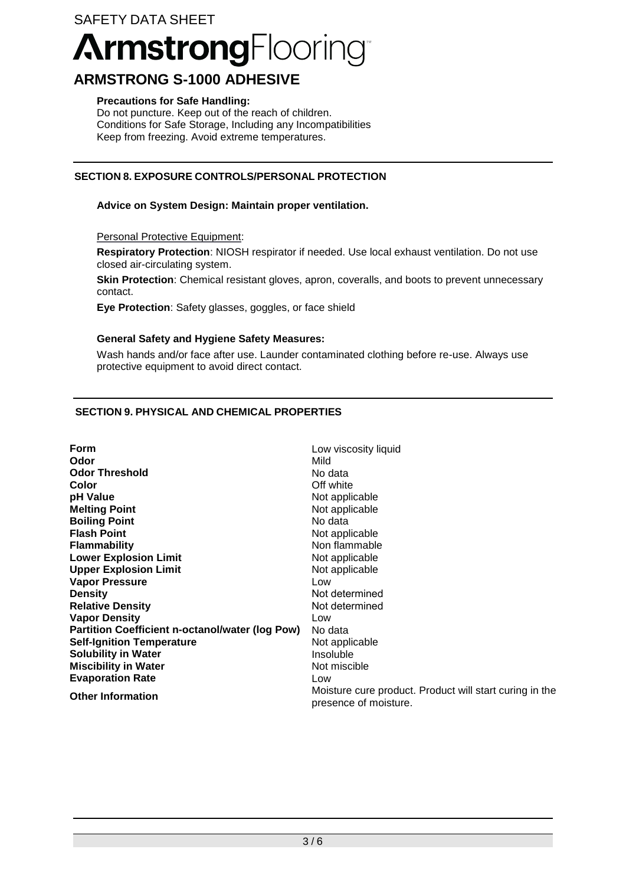#### SAFETY DATA SHEET

# **ArmstrongFlooring**

### **ARMSTRONG S-1000 ADHESIVE**

#### **Precautions for Safe Handling:**

Do not puncture. Keep out of the reach of children. Conditions for Safe Storage, Including any Incompatibilities Keep from freezing. Avoid extreme temperatures.

#### **SECTION 8. EXPOSURE CONTROLS/PERSONAL PROTECTION**

#### **Advice on System Design: Maintain proper ventilation.**

Personal Protective Equipment:

**Respiratory Protection**: NIOSH respirator if needed. Use local exhaust ventilation. Do not use closed air-circulating system.

**Skin Protection**: Chemical resistant gloves, apron, coveralls, and boots to prevent unnecessary contact.

**Eye Protection**: Safety glasses, goggles, or face shield

#### **General Safety and Hygiene Safety Measures:**

Wash hands and/or face after use. Launder contaminated clothing before re-use. Always use protective equipment to avoid direct contact.

#### **SECTION 9. PHYSICAL AND CHEMICAL PROPERTIES**

| Form                                                   | Low viscosity liquid                                                             |
|--------------------------------------------------------|----------------------------------------------------------------------------------|
| Odor                                                   | Mild                                                                             |
| <b>Odor Threshold</b>                                  | No data                                                                          |
| Color                                                  | Off white                                                                        |
| pH Value                                               | Not applicable                                                                   |
| <b>Melting Point</b>                                   | Not applicable                                                                   |
| <b>Boiling Point</b>                                   | No data                                                                          |
| <b>Flash Point</b>                                     | Not applicable                                                                   |
| <b>Flammability</b>                                    | Non flammable                                                                    |
| <b>Lower Explosion Limit</b>                           | Not applicable                                                                   |
| <b>Upper Explosion Limit</b>                           | Not applicable                                                                   |
| <b>Vapor Pressure</b>                                  | Low                                                                              |
| <b>Density</b>                                         | Not determined                                                                   |
| <b>Relative Density</b>                                | Not determined                                                                   |
| <b>Vapor Density</b>                                   | Low                                                                              |
| <b>Partition Coefficient n-octanol/water (log Pow)</b> | No data                                                                          |
| <b>Self-Ignition Temperature</b>                       | Not applicable                                                                   |
| <b>Solubility in Water</b>                             | Insoluble                                                                        |
| <b>Miscibility in Water</b>                            | Not miscible                                                                     |
| <b>Evaporation Rate</b>                                | Low                                                                              |
| <b>Other Information</b>                               | Moisture cure product. Product will start curing in the<br>presence of moisture. |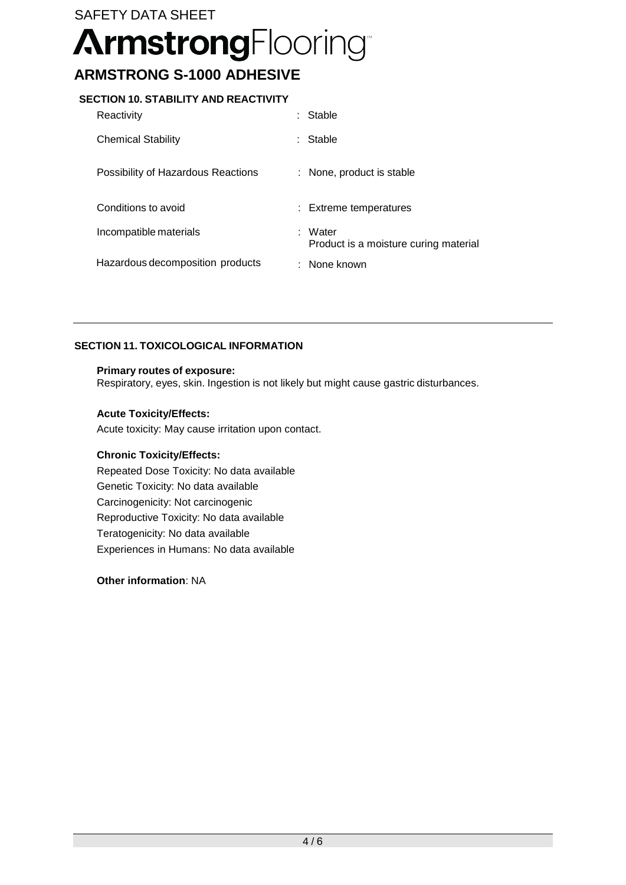## SAFETY DATA SHEET **ArmstrongFlooring ARMSTRONG S-1000 ADHESIVE**

#### **SECTION 10. STABILITY AND REACTIVITY**

| Reactivity                         | Stable                                           |
|------------------------------------|--------------------------------------------------|
| <b>Chemical Stability</b>          | Stable                                           |
| Possibility of Hazardous Reactions | : None, product is stable                        |
| Conditions to avoid                | : Extreme temperatures                           |
| Incompatible materials             |                                                  |
|                                    | : Water<br>Product is a moisture curing material |

#### **SECTION 11. TOXICOLOGICAL INFORMATION**

#### **Primary routes of exposure:**

Respiratory, eyes, skin. Ingestion is not likely but might cause gastric disturbances.

#### **Acute Toxicity/Effects:**

Acute toxicity: May cause irritation upon contact.

#### **Chronic Toxicity/Effects:**

Repeated Dose Toxicity: No data available Genetic Toxicity: No data available Carcinogenicity: Not carcinogenic Reproductive Toxicity: No data available Teratogenicity: No data available Experiences in Humans: No data available

**Other information**: NA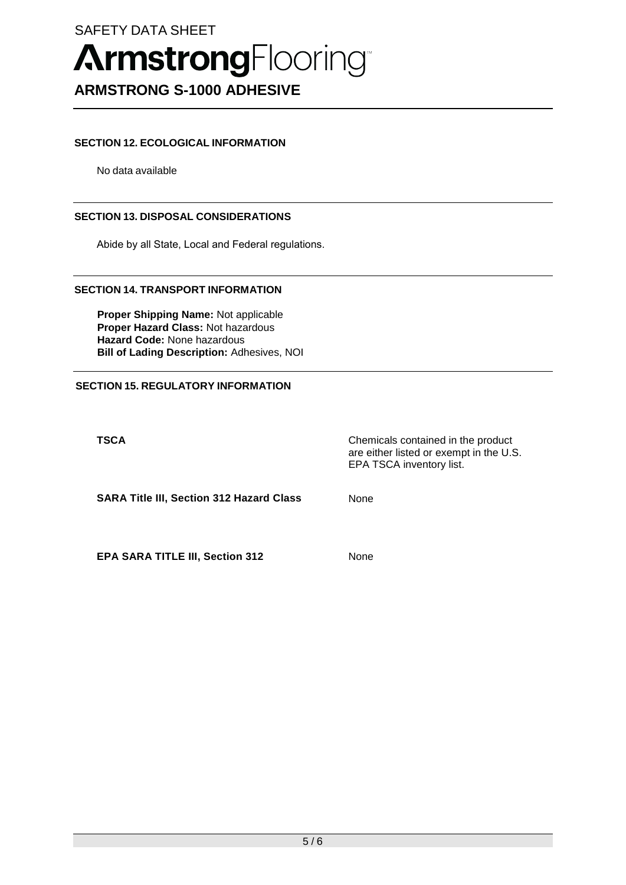### SAFETY DATA SHEET

# **ArmstrongFlooring ARMSTRONG S-1000 ADHESIVE**

#### **SECTION 12. ECOLOGICAL INFORMATION**

No data available

#### **SECTION 13. DISPOSAL CONSIDERATIONS**

Abide by all State, Local and Federal regulations.

#### **SECTION 14. TRANSPORT INFORMATION**

**Proper Shipping Name:** Not applicable **Proper Hazard Class:** Not hazardous **Hazard Code:** None hazardous **Bill of Lading Description:** Adhesives, NOI

#### **SECTION 15. REGULATORY INFORMATION**

**TSCA** Chemicals contained in the product are either listed or exempt in the U.S. EPA TSCA inventory list.

**SARA Title III, Section 312 Hazard Class** None

**EPA SARA TITLE III, Section 312** None